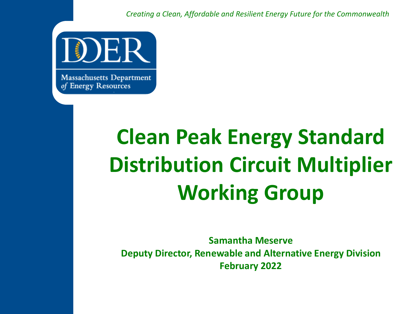*Creating a Clean, Affordable and Resilient Energy Future for the Commonwealth*



**Massachusetts Department** of Energy Resources

# **Clean Peak Energy Standard Distribution Circuit Multiplier Working Group**

**Samantha Meserve Deputy Director, Renewable and Alternative Energy Division February 2022**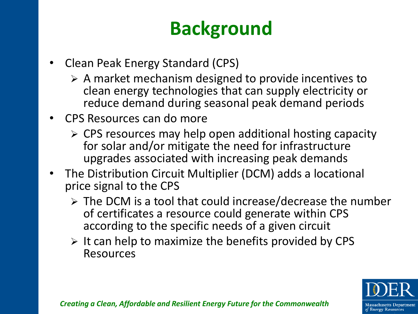## **Background**

- Clean Peak Energy Standard (CPS)
	- ➢ A market mechanism designed to provide incentives to clean energy technologies that can supply electricity or reduce demand during seasonal peak demand periods
- CPS Resources can do more
	- ➢ CPS resources may help open additional hosting capacity for solar and/or mitigate the need for infrastructure upgrades associated with increasing peak demands
- The Distribution Circuit Multiplier (DCM) adds a locational price signal to the CPS
	- ➢ The DCM is a tool that could increase/decrease the number of certificates a resource could generate within CPS according to the specific needs of a given circuit
	- $\triangleright$  It can help to maximize the benefits provided by CPS Resources

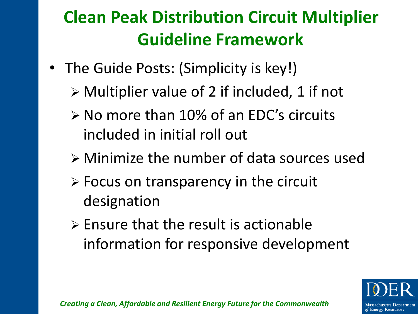#### **Clean Peak Distribution Circuit Multiplier Guideline Framework**

- The Guide Posts: (Simplicity is key!)
	- ➢ Multiplier value of 2 if included, 1 if not
	- ➢ No more than 10% of an EDC's circuits included in initial roll out
	- ➢ Minimize the number of data sources used
	- ➢ Focus on transparency in the circuit designation
	- ➢ Ensure that the result is actionable information for responsive development

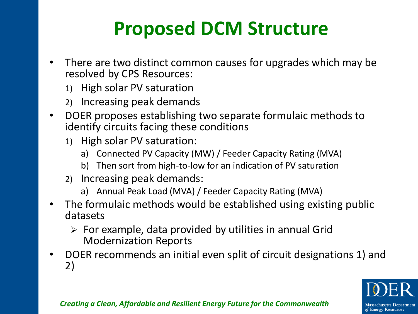## **Proposed DCM Structure**

- There are two distinct common causes for upgrades which may be resolved by CPS Resources:
	- 1) High solar PV saturation
	- 2) Increasing peak demands
- DOER proposes establishing two separate formulaic methods to identify circuits facing these conditions
	- 1) High solar PV saturation:
		- a) Connected PV Capacity (MW) / Feeder Capacity Rating (MVA)
		- b) Then sort from high-to-low for an indication of PV saturation
	- 2) Increasing peak demands:
		- a) Annual Peak Load (MVA) / Feeder Capacity Rating (MVA)
- The formulaic methods would be established using existing public datasets
	- $\triangleright$  For example, data provided by utilities in annual Grid Modernization Reports
- DOER recommends an initial even split of circuit designations 1) and 2)

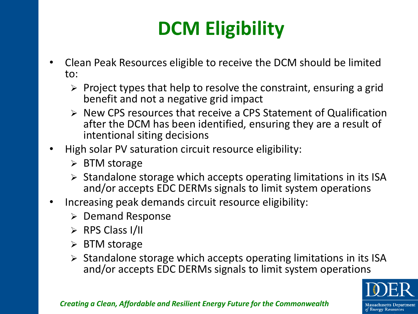# **DCM Eligibility**

- Clean Peak Resources eligible to receive the DCM should be limited to:
	- $\triangleright$  Project types that help to resolve the constraint, ensuring a grid benefit and not a negative grid impact
	- ➢ New CPS resources that receive a CPS Statement of Qualification after the DCM has been identified, ensuring they are a result of intentional siting decisions
- High solar PV saturation circuit resource eligibility:
	- ➢ BTM storage
	- ➢ Standalone storage which accepts operating limitations in its ISA and/or accepts EDC DERMs signals to limit system operations
- Increasing peak demands circuit resource eligibility:
	- ➢ Demand Response
	- ➢ RPS Class I/II
	- ➢ BTM storage
	- $\triangleright$  Standalone storage which accepts operating limitations in its ISA and/or accepts EDC DERMs signals to limit system operations

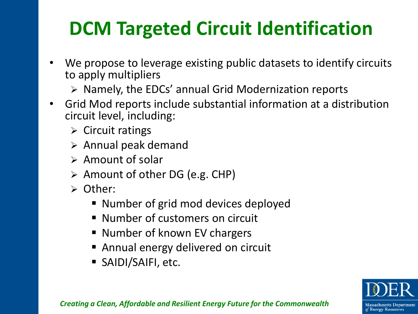## **DCM Targeted Circuit Identification**

- We propose to leverage existing public datasets to identify circuits to apply multipliers
	- ➢ Namely, the EDCs' annual Grid Modernization reports
- Grid Mod reports include substantial information at a distribution circuit level, including:
	- $\triangleright$  Circuit ratings
	- ➢ Annual peak demand
	- ➢ Amount of solar
	- ➢ Amount of other DG (e.g. CHP)
	- ➢ Other:
		- Number of grid mod devices deployed
		- Number of customers on circuit
		- Number of known EV chargers
		- Annual energy delivered on circuit
		- SAIDI/SAIFI, etc.

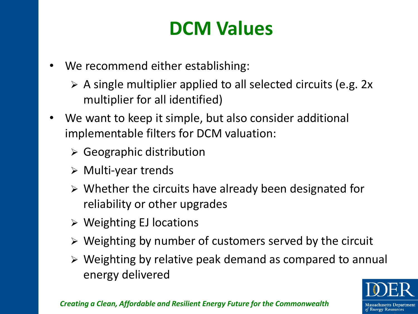### **DCM Values**

- We recommend either establishing:
	- $\triangleright$  A single multiplier applied to all selected circuits (e.g. 2x) multiplier for all identified)
- We want to keep it simple, but also consider additional implementable filters for DCM valuation:
	- $\triangleright$  Geographic distribution
	- ➢ Multi-year trends
	- ➢ Whether the circuits have already been designated for reliability or other upgrades
	- ➢ Weighting EJ locations
	- ➢ Weighting by number of customers served by the circuit
	- ➢ Weighting by relative peak demand as compared to annual energy delivered

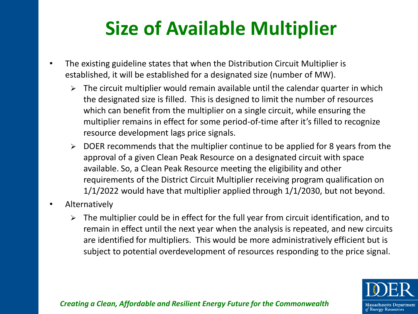## **Size of Available Multiplier**

- The existing guideline states that when the Distribution Circuit Multiplier is established, it will be established for a designated size (number of MW).
	- $\triangleright$  The circuit multiplier would remain available until the calendar quarter in which the designated size is filled. This is designed to limit the number of resources which can benefit from the multiplier on a single circuit, while ensuring the multiplier remains in effect for some period-of-time after it's filled to recognize resource development lags price signals.
	- ➢ DOER recommends that the multiplier continue to be applied for 8 years from the approval of a given Clean Peak Resource on a designated circuit with space available. So, a Clean Peak Resource meeting the eligibility and other requirements of the District Circuit Multiplier receiving program qualification on 1/1/2022 would have that multiplier applied through 1/1/2030, but not beyond.
- Alternatively
	- ➢ The multiplier could be in effect for the full year from circuit identification, and to remain in effect until the next year when the analysis is repeated, and new circuits are identified for multipliers. This would be more administratively efficient but is subject to potential overdevelopment of resources responding to the price signal.

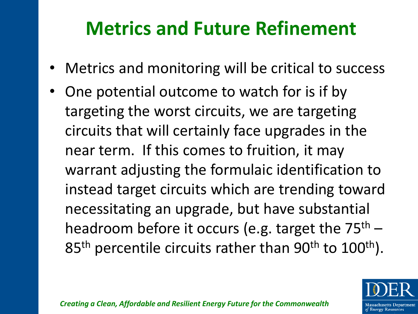### **Metrics and Future Refinement**

- Metrics and monitoring will be critical to success
- One potential outcome to watch for is if by targeting the worst circuits, we are targeting circuits that will certainly face upgrades in the near term. If this comes to fruition, it may warrant adjusting the formulaic identification to instead target circuits which are trending toward necessitating an upgrade, but have substantial headroom before it occurs (e.g. target the  $75<sup>th</sup>$  – 85<sup>th</sup> percentile circuits rather than 90<sup>th</sup> to 100<sup>th</sup>).